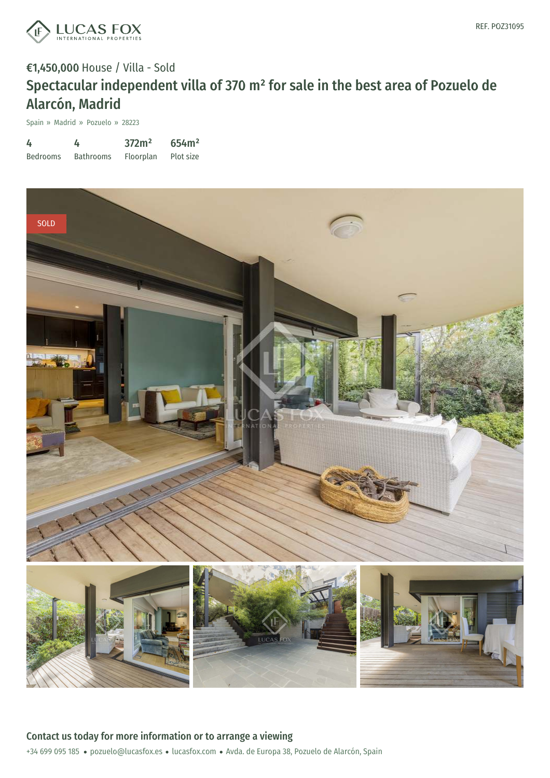

Spain » Madrid » Pozuelo » 28223

| 4               | 4                | 372m <sup>2</sup> | 654m <sup>2</sup> |
|-----------------|------------------|-------------------|-------------------|
| <b>Bedrooms</b> | <b>Bathrooms</b> | Floorplan         | Plot size         |

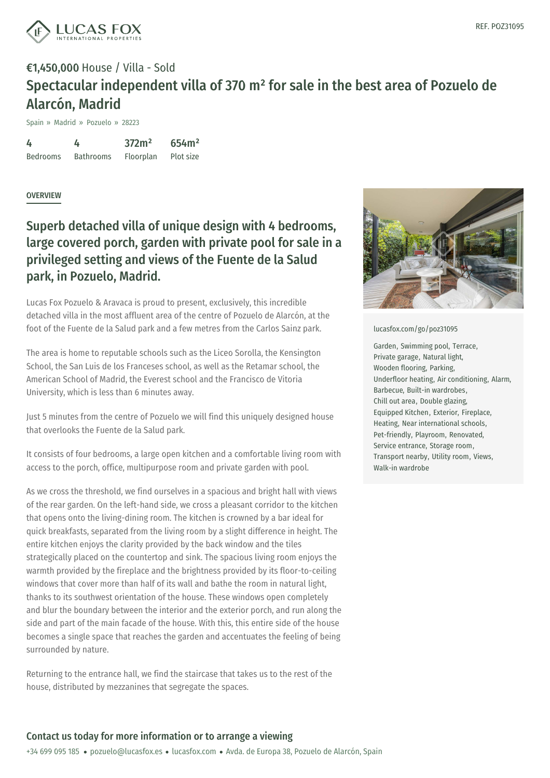

Spain » Madrid » Pozuelo » 28223

4 Bedrooms 4 Bathrooms 372m² Floorplan 654m² Plot size

### **OVERVIEW**

### Superb detached villa of unique design with 4 bedrooms, large covered porch, garden with private pool for sale in a privileged setting and views of the Fuente de la Salud park, in Pozuelo, Madrid.

Lucas Fox Pozuelo & Aravaca is proud to present, exclusively, this incredible detached villa in the most affluent area of the centre of Pozuelo de Alarcón, at the foot of the Fuente de la Salud park and a few metres from the Carlos Sainz park.

The area is home to reputable schools such as the Liceo Sorolla, the Kensington School, the San Luis de los Franceses school, as well as the Retamar school, the American School of Madrid, the Everest school and the Francisco de Vitoria University, which is less than 6 minutes away.

Just 5 minutes from the centre of Pozuelo we will find this uniquely designed house that overlooks the Fuente de la Salud park.

It consists of four bedrooms, a large open kitchen and a comfortable living room with access to the porch, office, multipurpose room and private garden with pool.

As we cross the threshold, we find ourselves in a spacious and bright hall with views of the rear garden. On the left-hand side, we cross a pleasant corridor to the kitchen that opens onto the living-dining room. The kitchen is crowned by a bar ideal for quick breakfasts, separated from the living room by a slight difference in height. The entire kitchen enjoys the clarity provided by the back window and the tiles strategically placed on the [countertop](mailto:pozuelo@lucasfox.es) and [sink.](https://www.lucasfox.com) The spacious living room enjoys the warmth provided by the fireplace and the brightness provided by its floor-to-ceiling windows that cover more than half of its wall and bathe the room in natural light, thanks to its southwest orientation of the house. These windows open completely and blur the boundary between the interior and the exterior porch, and run along the side and part of the main facade of the house. With this, this entire side of the house becomes a single space that reaches the garden and accentuates the feeling of being surrounded by nature.

Returning to the entrance hall, we find the staircase that takes us to the rest of the house, distributed by mezzanines that segregate the spaces.



#### [lucasfox.com/go/poz31095](https://www.lucasfox.com/go/poz31095)

Garden, Swimming pool, Terrace, Private garage, Natural light, Wooden flooring, Parking, Underfloor heating, Air conditioning, Alarm, Barbecue, Built-in wardrobes, Chill out area, Double glazing, Equipped Kitchen, Exterior, Fireplace, Heating, Near international schools, Pet-friendly, Playroom, Renovated, Service entrance, Storage room, Transport nearby, Utility room, Views, Walk-in wardrobe

### Contact us today for more information or to arrange a viewing

+34 699 095 185 · pozuelo@lucasfox.es · lucasfox.com · Avda. de Europa 38, Pozuelo de Alarcón, Spain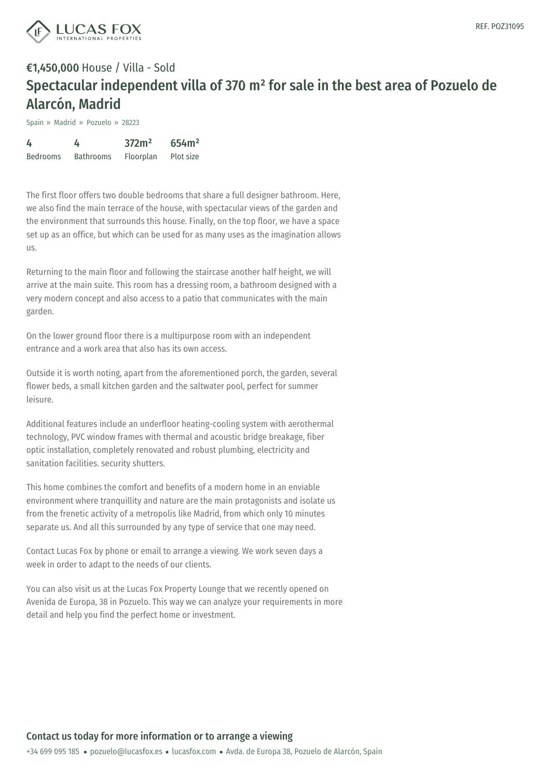

Spain » Madrid » Pozuelo » 28223

| 4               | 4                | 372m <sup>2</sup> | 654m <sup>2</sup> |
|-----------------|------------------|-------------------|-------------------|
| <b>Bedrooms</b> | <b>Bathrooms</b> | Floorplan         | Plot size         |

The first floor offers two double bedrooms that share a full designer bathroom. Here, we also find the main terrace of the house, with spectacular views of the garden and the environment that surrounds this house. Finally, on the top floor, we have a space set up as an office, but which can be used for as many uses as the imagination allows us.

Returning to the main floor and following the staircase another half height, we will arrive at the main suite. This room has a dressing room, a bathroom designed with a very modern concept and also access to a patio that communicates with the main garden.

On the lower ground floor there is a multipurpose room with an independent entrance and a work area that also has its own access.

Outside it is worth noting, apart from the aforementioned porch, the garden, several flower beds, a small kitchen garden and the saltwater pool, perfect for summer leisure.

Additional features include an underfloor heating-cooling system with aerothermal technology, PVC window frames with thermal and acoustic bridge breakage, fiber optic installation, completely renovated and robust plumbing, electricity and sanitation facilities. security shutters.

This home combines the comfort and benefits of a modern home in an enviable environment where tranquillity and nature are the main protagonists and isolate us from the frenetic activity of a metropolis like Madrid, from which only 10 minutes separate us. And all this surrounded by any type of service that one may need.

Contact Lucas Fox by phone or email to arrange a viewing. We work seven days a week in order to adapt to the [needs](mailto:pozuelo@lucasfox.es) of our [clients.](https://www.lucasfox.com)

You can also visit us at the Lucas Fox Property Lounge that we recently opened on Avenida de Europa, 38 in Pozuelo. This way we can analyze your requirements in more detail and help you find the perfect home or investment.